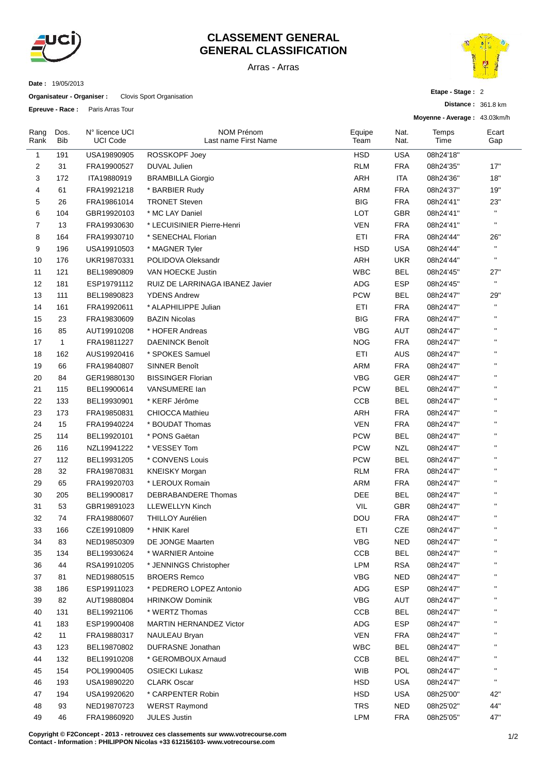

## **CLASSEMENT GENERAL GENERAL CLASSIFICATION**

Arras - Arras



Dos. **Bib** 

Rang Rank

**Organisateur - Organiser :** Clovis Sport Organisation

UCI Code

**Epreuve - Race :** Paris Arras Tour



**Etape - Stage :** 2

**Distance :** 361.8 km **Moyenne - Average :** 43.03km/h N° licence UCI NOM Prénom Last name First Name Equipe Team Nat. Nat. **Temps** Time Ecart Gap 191 USA19890905 ROSSKOPF Joey HSD USA 08h24'18'' 31 FRA19900527 DUVAL Julien RLM FRA 08h24'35'' 17'' 172 ITA19880919 BRAMBILLA Giorgio ARH ITA 08h24'36'' 18'' 61 FRA19921218 \* BARBIER Rudy ARM FRA 08h24'37'' 19'' 26 FRA19861014 TRONET Steven BIG FRA 08h24'41'' 23'' 6 104 GBR19920103 \* MC LAY Daniel **LOT** GBR 08h24'41" " 13 FRA19930630 \* LECUISINIER Pierre-Henri VEN FRA 08h24'41'' '' 164 FRA19930710 \* SENECHAL Florian ETI FRA 08h24'44'' 26'' 196 USA19910503 \* MAGNER Tyler HSD USA 08h24'44'' '' 176 UKR19870331 POLIDOVA Oleksandr ARH UKR 08h24'44'' '' 121 BEL19890809 VAN HOECKE Justin WBC BEL 08h24'45'' 27'' 12 181 ESP19791112 RUIZ DE LARRINAGA IBANEZ Javier ADG ESP 08h24'45" " 111 BEL19890823 YDENS Andrew PCW BEL 08h24'47'' 29'' 161 FRA19920611 \* ALAPHILIPPE Julian ETI FRA 08h24'47'' '' 23 FRA19830609 BAZIN Nicolas BIG FRA 08h24'47'' ''

| 16 | 85           | AUT19910208 | * HOFER Andreas                                                                  | <b>VBG</b> | <b>AUT</b> | 08h24'47" | п                  |
|----|--------------|-------------|----------------------------------------------------------------------------------|------------|------------|-----------|--------------------|
| 17 | $\mathbf{1}$ | FRA19811227 | <b>DAENINCK Benoît</b>                                                           | <b>NOG</b> | <b>FRA</b> | 08h24'47" | Ħ                  |
| 18 | 162          | AUS19920416 | * SPOKES Samuel                                                                  | ETI        | <b>AUS</b> | 08h24'47" | Ħ                  |
| 19 | 66           | FRA19840807 | <b>SINNER Benoît</b>                                                             | ARM        | <b>FRA</b> | 08h24'47" | H,                 |
| 20 | 84           | GER19880130 | <b>BISSINGER Florian</b>                                                         | <b>VBG</b> | <b>GER</b> | 08h24'47" | $\mathbf{u}$       |
| 21 | 115          | BEL19900614 | VANSUMERE Ian                                                                    | <b>PCW</b> | <b>BEL</b> | 08h24'47" | Ĥ,                 |
| 22 | 133          | BEL19930901 | * KERF Jérôme                                                                    | CCB        | <b>BEL</b> | 08h24'47" | H,                 |
| 23 | 173          | FRA19850831 | <b>CHIOCCA Mathieu</b>                                                           | ARH        | <b>FRA</b> | 08h24'47" | Ĥ,                 |
| 24 | 15           | FRA19940224 | * BOUDAT Thomas                                                                  | <b>VEN</b> | <b>FRA</b> | 08h24'47" | $\mathbf{u}$       |
| 25 | 114          | BEL19920101 | * PONS Gaëtan                                                                    | <b>PCW</b> | <b>BEL</b> | 08h24'47" | $\bar{\mathbf{u}}$ |
| 26 | 116          | NZL19941222 | * VESSEY Tom                                                                     | <b>PCW</b> | <b>NZL</b> | 08h24'47" | $\mathbf{H}$       |
| 27 | 112          | BEL19931205 | * CONVENS Louis                                                                  | <b>PCW</b> | <b>BEL</b> | 08h24'47" | $\bar{\mathbf{u}}$ |
| 28 | 32           | FRA19870831 | <b>KNEISKY Morgan</b>                                                            | <b>RLM</b> | <b>FRA</b> | 08h24'47" | Ħ                  |
| 29 | 65           | FRA19920703 | * LEROUX Romain                                                                  | <b>ARM</b> | <b>FRA</b> | 08h24'47" | $\mathbf{u}$       |
| 30 | 205          | BEL19900817 | <b>DEBRABANDERE Thomas</b>                                                       | DEE        | <b>BEL</b> | 08h24'47" | Ĥ,                 |
| 31 | 53           | GBR19891023 | <b>LLEWELLYN Kinch</b>                                                           | <b>VIL</b> | GBR        | 08h24'47" | Ħ                  |
| 32 | 74           | FRA19880607 | <b>THILLOY Aurélien</b>                                                          | DOU        | <b>FRA</b> | 08h24'47" | $\mathbf{H}$       |
| 33 | 166          | CZE19910809 | * HNIK Karel                                                                     | ETI        | <b>CZE</b> | 08h24'47" | $\mathbf{H}$       |
| 34 | 83           | NED19850309 | DE JONGE Maarten                                                                 | <b>VBG</b> | <b>NED</b> | 08h24'47" | $\bar{\mathbf{u}}$ |
| 35 | 134          | BEL19930624 | * WARNIER Antoine                                                                | CCB        | <b>BEL</b> | 08h24'47" | Ħ                  |
| 36 | 44           | RSA19910205 | * JENNINGS Christopher                                                           | <b>LPM</b> | <b>RSA</b> | 08h24'47" | Ĥ,                 |
| 37 | 81           | NED19880515 | <b>BROERS Remco</b>                                                              | VBG        | <b>NED</b> | 08h24'47" | $\mathbf{u}$       |
| 38 | 186          | ESP19911023 | * PEDRERO LOPEZ Antonio                                                          | <b>ADG</b> | <b>ESP</b> | 08h24'47" | Ĥ,                 |
| 39 | 82           | AUT19880804 | <b>HRINKOW Dominik</b>                                                           | <b>VBG</b> | <b>AUT</b> | 08h24'47" | Ĥ,                 |
| 40 | 131          | BEL19921106 | * WERTZ Thomas                                                                   | CCB        | <b>BEL</b> | 08h24'47" | $\bar{\mathbf{u}}$ |
| 41 | 183          | ESP19900408 | <b>MARTIN HERNANDEZ Victor</b>                                                   | ADG        | <b>ESP</b> | 08h24'47" | $\bar{\mathbf{u}}$ |
| 42 | 11           | FRA19880317 | <b>NAULEAU Bryan</b>                                                             | <b>VEN</b> | <b>FRA</b> | 08h24'47" | Ħ                  |
| 43 | 123          | BEL19870802 | DUFRASNE Jonathan                                                                | <b>WBC</b> | <b>BEL</b> | 08h24'47" | H,                 |
| 44 | 132          | BEL19910208 | * GEROMBOUX Arnaud                                                               | CCB        | <b>BEL</b> | 08h24'47" | $\mathbf{H}$       |
| 45 | 154          | POL19900405 | <b>OSIECKI Lukasz</b>                                                            | <b>WIB</b> | POL        | 08h24'47" | $\bar{\mathbf{u}}$ |
| 46 | 193          | USA19890220 | <b>CLARK Oscar</b>                                                               | <b>HSD</b> | <b>USA</b> | 08h24'47" | $\mathbf{H}$       |
| 47 | 194          | USA19920620 | * CARPENTER Robin                                                                | <b>HSD</b> | <b>USA</b> | 08h25'00" | 42"                |
| 48 | 93           | NED19870723 | <b>WERST Raymond</b>                                                             | <b>TRS</b> | <b>NED</b> | 08h25'02" | 44"                |
| 49 | 46           | FRA19860920 | <b>JULES Justin</b>                                                              | <b>LPM</b> | <b>FRA</b> | 08h25'05" | 47"                |
|    |              |             | Copyright © F2Concept - 2013 - retrouvez ces classements sur www.votrecourse.com |            |            |           | 1/2                |

**Contact - Information : PHILIPPON Nicolas +33 612156103- www.votrecourse.com**